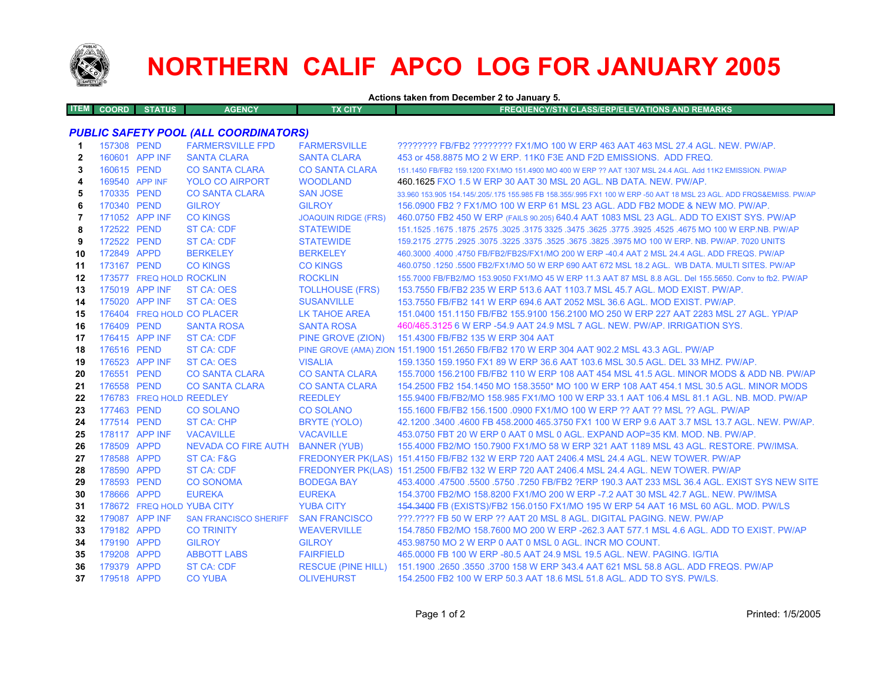

## **NORTHERN CALIF APCO LOG FOR JANUARY 2005**

**Actions taken from December 2 to January 5. ITEM COORD STATUS AGENCY TX CITY FREQUENCY/STN CLASS/ERP/ELEVATIONS AND REMARKS***PUBLIC SAFETY POOL (ALL COORDINATORS)* **1** 157308 PEND FARMERSVILLE FPD FARMERSVILLE ???????? FB/FB2 ???????? FX1/MO 100 W ERP 463 AAT 463 MSL 27.4 AGL. NEW. PW/AP. **2** 160601 APP INF SANTA CLARA SANTA CLARA 453 or 458.8875 MO 2 W ERP. 11K0 F3E AND F2D EMISSIONS. ADD FREQ. **3** 160615 PEND CO SANTA CLARA CO SANTA CLARA 151.1450 FB/FB2 159.1200 FX1/MO 151.4900 MO 400 W ERP ?? AAT 1307 MSL 24.4 AGL. Add 11K2 EMISSION. PW/AP **4** 169540 APP INFYOLO CO AIRPORT WOODLAND 460.1625 FXO 1.5 W ERP 30 AAT 30 MSL 20 AGL. NB DATA. NEW. PW/AP. **5** 170335 PEND CO SANTA CLARA SAN JOSE 33.960 153.905 154.145/.205/.175 155.985 FB 158.355/.995 FX1 100 W ERP -50 AAT 18 MSL 23 AGL. ADD FRQS&EMISS. PW/AP **6** 170340 PEND GILROY GILROY 156.0900 FB2 ? FX1/MO 100 W ERP 61 MSL 23 AGL. ADD FB2 MODE & NEW MO. PW/AP. **7** 171052 APP INF CO KINGS JOAQUIN RIDGE (FRS) 460.0750 FB2 450 W ERP (FAILS 90.205) 640.4 AAT 1083 MSL 23 AGL. ADD TO EXIST SYS. PW/AP **8** 172522 PEND ST CA: CDF STATEWIDE 151.1525 .1675 .1875 .2575 .3025 .3175 3325 .3475 .3625 .3775 .3925 .4525 .4675 MO 100 W ERP.NB. PW/AP **9** 172522 PEND ST CA: CDF STATEWIDE 159.2175 .2775 .2925 .3075 .3225 .3375 .3525 .3675 .3825 .3975 MO 100 W ERP. NB. PW/AP. 7020 UNITS **10** 172849 APPD BERKELEY BERKELEY 460.3000 .4000 .4750 FB/FB2/FB2S/FX1/MO 200 W ERP -40.4 AAT 2 MSL 24.4 AGL. ADD FREQS. PW/AP **11** 173167 PEND CO KINGS CO KINGS 460.0750 .1250 .5500 FB2/FX1/MO 50 W ERP 690 AAT 672 MSL 18.2 AGL. WB DATA. MULTI SITES. PW/AP **12**173577 FREQ HOLD ROCKLIN ROCKLIN ROCKLIN 155.7000 FB/FB2/MO 153.9050 FX1/MO 45 W ERP 11.3 AAT 87 MSL 8.8 AGL. Del 155.5650. Conv to fb2. PW/AP **13** 175019 APP INF ST CA: OES TOLLHOUSE (FRS) 153.7550 FB/FB2 235 W ERP 513.6 AAT 1103.7 MSL 45.7 AGL. MOD EXIST. PW/AP. **14** 175020 APP INF ST CA: OES SUSANVILLE 153.7550 FB/FB2 141 W ERP 694.6 AAT 2052 MSL 36.6 AGL. MOD EXIST. PW/AP. **15**176404 FREQ HOLD CO PLACER LK TAHOE AREA 151.0400 151.1150 FB/FB2 155.9100 156.2100 MO 250 W ERP 227 AAT 2283 MSL 27 AGL. YP/AP **16** 176409 PEND SANTA ROSA SANTA ROSA 460/465.3125 6 W ERP -54.9 AAT 24.9 MSL 7 AGL. NEW. PW/AP. IRRIGATION SYS. **17** 176415 APP INF ST CA: CDF PINE GROVE (ZION) 151.4300 FB/FB2 135 W ERP 304 AAT **18** 176516 PEND ST CA: CDF PINE GROVE (AMA) ZION 151.1900 151.2650 FB/FB2 170 W ERP 304 AAT 902.2 MSL 43.3 AGL. PW/AP **19** 176523 APP INF ST CA: OES VISALIA 159.1350 159.1950 FX1 89 W ERP 36.6 AAT 103.6 MSL 30.5 AGL. DEL 33 MHZ. PW/AP. **20**176551 PEND CO SANTA CLARA CO SANTA CLARA 155.7000 156.2100 FB/FB2 110 W ERP 108 AAT 454 MSL 41.5 AGL. MINOR MODS & ADD NB. PW/AP **21** 176558 PEND CO SANTA CLARA CO SANTA CLARA 154.2500 FB2 154.1450 MO 158.3550\* MO 100 W ERP 108 AAT 454.1 MSL 30.5 AGL. MINOR MODS**22**176783 FREQ HOLD REEDLEY REEDLEY 155.9400 FB/FB2/MO 158.985 FX1/MO 100 W ERP 33.1 AAT 106.4 MSL 81.1 AGL. NB. MOD. PW/AP **23** 177463 PEND CO SOLANO CO SOLANO 155.1600 FB/FB2 156.1500 .0900 FX1/MO 100 W ERP ?? AAT ?? MSL ?? AGL. PW/AP**24** 177514 PEND ST CA: CHP BRYTE (YOLO) 42.1200 .3400 .4600 FB 458.2000 465.3750 FX1 100 W ERP 9.6 AAT 3.7 MSL 13.7 AGL. NEW. PW/AP. **25** 178117 APP INF VACAVILLE VACAVILLE 453.0750 FBT 20 W ERP 0 AAT 0 MSL 0 AGL. EXPAND AOP=35 KM. MOD. NB. PW/AP. **26** 178509 APPD NEVADA CO FIRE AUTH BANNER (YUB) 155.4000 FB2/MO 150.7900 FX1/MO 58 W ERP 321 AAT 1189 MSL 43 AGL. RESTORE. PW/IMSA. **27** 178588 APPD ST CA: F&G FREDONYER PK(LAS) 151.4150 FB/FB2 132 W ERP 720 AAT 2406.4 MSL 24.4 AGL. NEW TOWER. PW/AP **28** 178590 APPD ST CA: CDF FREDONYER PK(LAS) 151.2500 FB/FB2 132 W ERP 720 AAT 2406.4 MSL 24.4 AGL. NEW TOWER. PW/AP **29**178593 PEND CO SONOMA BODEGA BAY 453.4000 .47500 .5500 .5750 .7250 FB/FB2 ?ERP 190.3 AAT 233 MSL 36.4 AGL. EXIST SYS NEW SITE **30**178666 APPD EUREKA EUREKA EUREKA 154.3700 FB2/MO 158.8200 FX1/MO 200 W ERP -7.2 AAT 30 MSL 42.7 AGL. NEW. PW/IMSA **31**178672 FREQ HOLD YUBA CITY YUBA CITY 454.3400 FB (EXISTS)/FB2 156.0150 FX1/MO 195 W ERP 54 AAT 16 MSL 60 AGL. MOD. PW/LS **32** 179087 APP INF SAN FRANCISCO SHERIFF SAN FRANCISCO ???.???? FB 50 W ERP ?? AAT 20 MSL 8 AGL. DIGITAL PAGING. NEW. PW/AP**33** 179182 APPD CO TRINITY WEAVERVILLE 154.7850 FB2/MO 158.7600 MO 200 W ERP -262.3 AAT 577.1 MSL 4.6 AGL. ADD TO EXIST. PW/AP**34** 179190 APPD GILROY GILROY 453.98750 MO 2 W ERP 0 AAT 0 MSL 0 AGL. INCR MO COUNT. **35** 179208 APPD ABBOTT LABS FAIRFIELD 465.0000 FB 100 W ERP -80.5 AAT 24.9 MSL 19.5 AGL. NEW. PAGING. IG/TIA**36** 179379 APPD ST CA: CDF RESCUE (PINE HILL) 151.1900 .2650 .3550 .3700 158 W ERP 343.4 AAT 621 MSL 58.8 AGL. ADD FREQS. PW/AP **37**179518 APPD CO YUBA OLIVEHURST 154.2500 FB2 100 W ERP 50.3 AAT 18.6 MSL 51.8 AGL. ADD TO SYS. PW/LS.